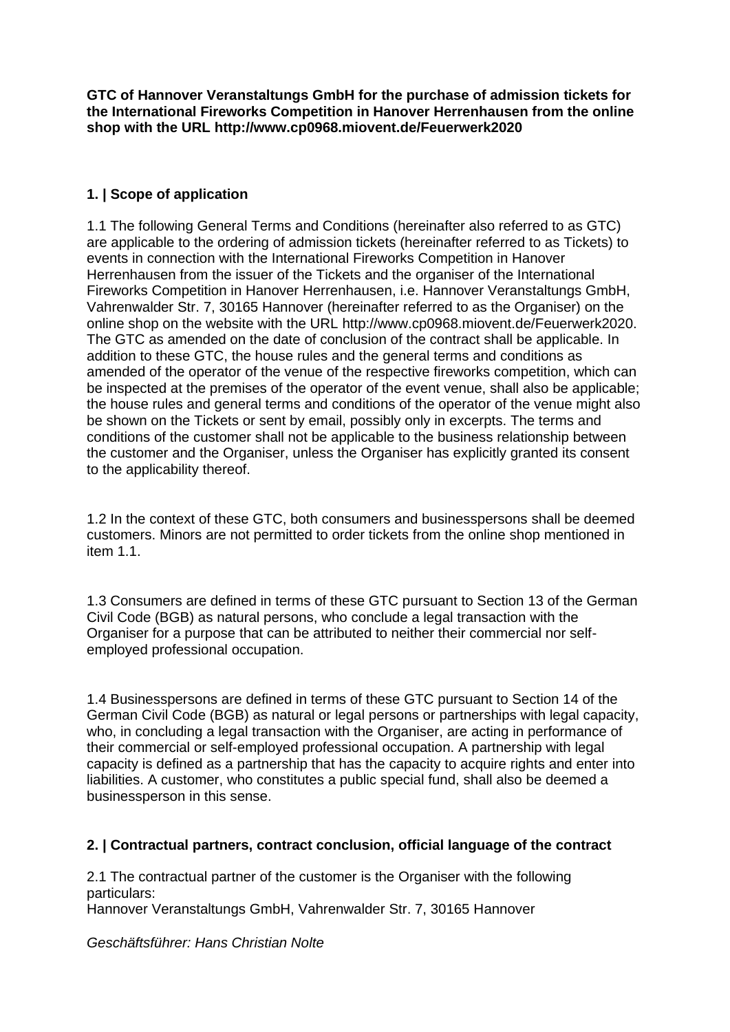**GTC of Hannover Veranstaltungs GmbH for the purchase of admission tickets for the International Fireworks Competition in Hanover Herrenhausen from the online shop with the URL http://www.cp0968.miovent.de/Feuerwerk2020**

# **1. | Scope of application**

1.1 The following General Terms and Conditions (hereinafter also referred to as GTC) are applicable to the ordering of admission tickets (hereinafter referred to as Tickets) to events in connection with the International Fireworks Competition in Hanover Herrenhausen from the issuer of the Tickets and the organiser of the International Fireworks Competition in Hanover Herrenhausen, i.e. Hannover Veranstaltungs GmbH, Vahrenwalder Str. 7, 30165 Hannover (hereinafter referred to as the Organiser) on the online shop on the website with the URL http://www.cp0968.miovent.de/Feuerwerk2020. The GTC as amended on the date of conclusion of the contract shall be applicable. In addition to these GTC, the house rules and the general terms and conditions as amended of the operator of the venue of the respective fireworks competition, which can be inspected at the premises of the operator of the event venue, shall also be applicable; the house rules and general terms and conditions of the operator of the venue might also be shown on the Tickets or sent by email, possibly only in excerpts. The terms and conditions of the customer shall not be applicable to the business relationship between the customer and the Organiser, unless the Organiser has explicitly granted its consent to the applicability thereof.

1.2 In the context of these GTC, both consumers and businesspersons shall be deemed customers. Minors are not permitted to order tickets from the online shop mentioned in item 1.1

1.3 Consumers are defined in terms of these GTC pursuant to Section 13 of the German Civil Code (BGB) as natural persons, who conclude a legal transaction with the Organiser for a purpose that can be attributed to neither their commercial nor selfemployed professional occupation.

1.4 Businesspersons are defined in terms of these GTC pursuant to Section 14 of the German Civil Code (BGB) as natural or legal persons or partnerships with legal capacity, who, in concluding a legal transaction with the Organiser, are acting in performance of their commercial or self-employed professional occupation. A partnership with legal capacity is defined as a partnership that has the capacity to acquire rights and enter into liabilities. A customer, who constitutes a public special fund, shall also be deemed a businessperson in this sense.

## **2. | Contractual partners, contract conclusion, official language of the contract**

2.1 The contractual partner of the customer is the Organiser with the following particulars:

Hannover Veranstaltungs GmbH, Vahrenwalder Str. 7, 30165 Hannover

*Geschäftsführer: Hans Christian Nolte*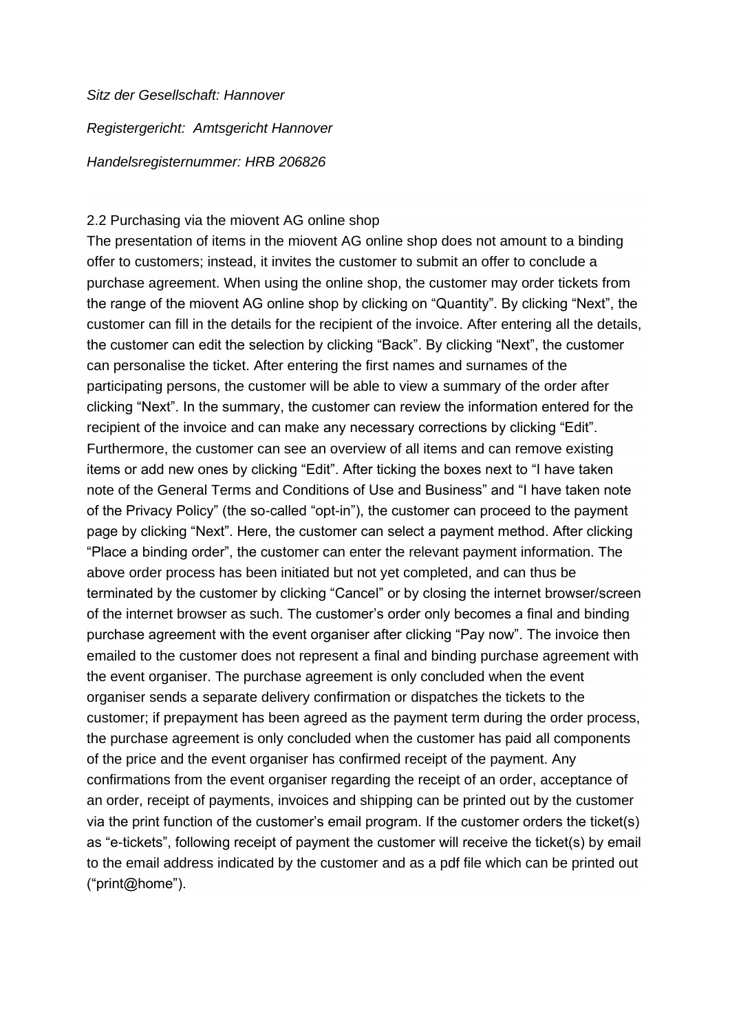*Sitz der Gesellschaft: Hannover*

*Registergericht: Amtsgericht Hannover*

*Handelsregisternummer: HRB 206826*

#### 2.2 Purchasing via the miovent AG online shop

The presentation of items in the miovent AG online shop does not amount to a binding offer to customers; instead, it invites the customer to submit an offer to conclude a purchase agreement. When using the online shop, the customer may order tickets from the range of the miovent AG online shop by clicking on "Quantity". By clicking "Next", the customer can fill in the details for the recipient of the invoice. After entering all the details, the customer can edit the selection by clicking "Back". By clicking "Next", the customer can personalise the ticket. After entering the first names and surnames of the participating persons, the customer will be able to view a summary of the order after clicking "Next". In the summary, the customer can review the information entered for the recipient of the invoice and can make any necessary corrections by clicking "Edit". Furthermore, the customer can see an overview of all items and can remove existing items or add new ones by clicking "Edit". After ticking the boxes next to "I have taken note of the General Terms and Conditions of Use and Business" and "I have taken note of the Privacy Policy" (the so-called "opt-in"), the customer can proceed to the payment page by clicking "Next". Here, the customer can select a payment method. After clicking "Place a binding order", the customer can enter the relevant payment information. The above order process has been initiated but not yet completed, and can thus be terminated by the customer by clicking "Cancel" or by closing the internet browser/screen of the internet browser as such. The customer's order only becomes a final and binding purchase agreement with the event organiser after clicking "Pay now". The invoice then emailed to the customer does not represent a final and binding purchase agreement with the event organiser. The purchase agreement is only concluded when the event organiser sends a separate delivery confirmation or dispatches the tickets to the customer; if prepayment has been agreed as the payment term during the order process, the purchase agreement is only concluded when the customer has paid all components of the price and the event organiser has confirmed receipt of the payment. Any confirmations from the event organiser regarding the receipt of an order, acceptance of an order, receipt of payments, invoices and shipping can be printed out by the customer via the print function of the customer's email program. If the customer orders the ticket(s) as "e-tickets", following receipt of payment the customer will receive the ticket(s) by email to the email address indicated by the customer and as a pdf file which can be printed out ("print@home").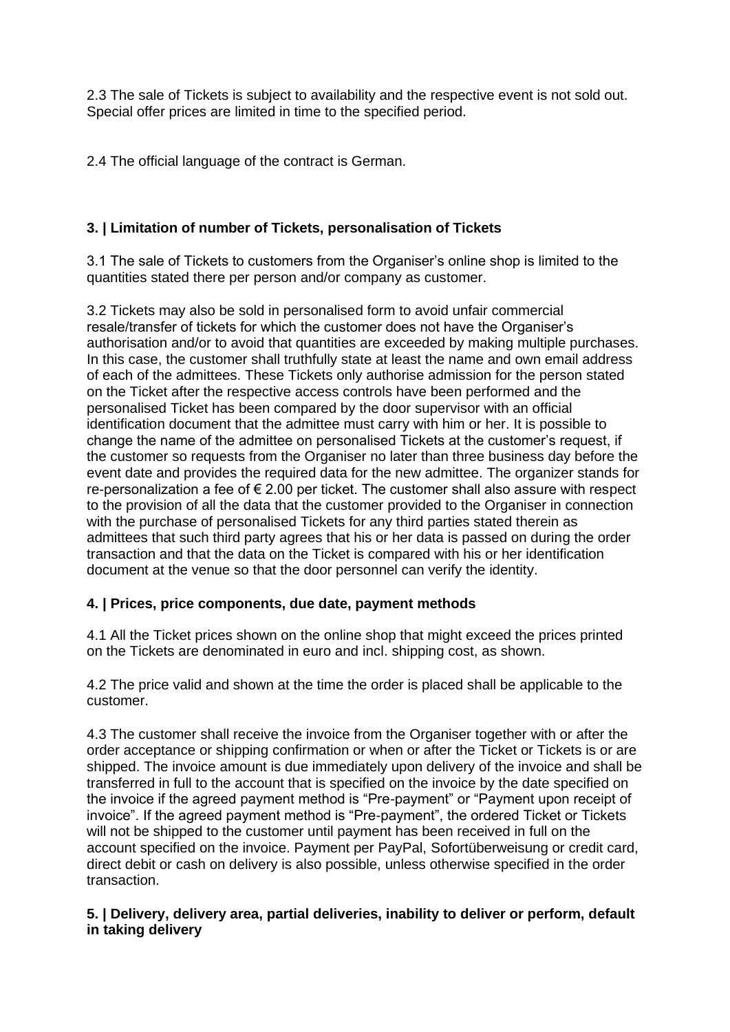2.3 The sale of Tickets is subject to availability and the respective event is not sold out. Special offer prices are limited in time to the specified period.

2.4 The official language of the contract is German.

## **3. | Limitation of number of Tickets, personalisation of Tickets**

3.1 The sale of Tickets to customers from the Organiser's online shop is limited to the quantities stated there per person and/or company as customer.

3.2 Tickets may also be sold in personalised form to avoid unfair commercial resale/transfer of tickets for which the customer does not have the Organiser's authorisation and/or to avoid that quantities are exceeded by making multiple purchases. In this case, the customer shall truthfully state at least the name and own email address of each of the admittees. These Tickets only authorise admission for the person stated on the Ticket after the respective access controls have been performed and the personalised Ticket has been compared by the door supervisor with an official identification document that the admittee must carry with him or her. It is possible to change the name of the admittee on personalised Tickets at the customer's request, if the customer so requests from the Organiser no later than three business day before the event date and provides the required data for the new admittee. The organizer stands for re-personalization a fee of  $\epsilon$  2.00 per ticket. The customer shall also assure with respect to the provision of all the data that the customer provided to the Organiser in connection with the purchase of personalised Tickets for any third parties stated therein as admittees that such third party agrees that his or her data is passed on during the order transaction and that the data on the Ticket is compared with his or her identification document at the venue so that the door personnel can verify the identity.

## **4. | Prices, price components, due date, payment methods**

4.1 All the Ticket prices shown on the online shop that might exceed the prices printed on the Tickets are denominated in euro and incl. shipping cost, as shown.

4.2 The price valid and shown at the time the order is placed shall be applicable to the customer.

4.3 The customer shall receive the invoice from the Organiser together with or after the order acceptance or shipping confirmation or when or after the Ticket or Tickets is or are shipped. The invoice amount is due immediately upon delivery of the invoice and shall be transferred in full to the account that is specified on the invoice by the date specified on the invoice if the agreed payment method is "Pre-payment" or "Payment upon receipt of invoice". If the agreed payment method is "Pre-payment", the ordered Ticket or Tickets will not be shipped to the customer until payment has been received in full on the account specified on the invoice. Payment per PayPal, Sofortüberweisung or credit card, direct debit or cash on delivery is also possible, unless otherwise specified in the order transaction.

### **5. | Delivery, delivery area, partial deliveries, inability to deliver or perform, default in taking delivery**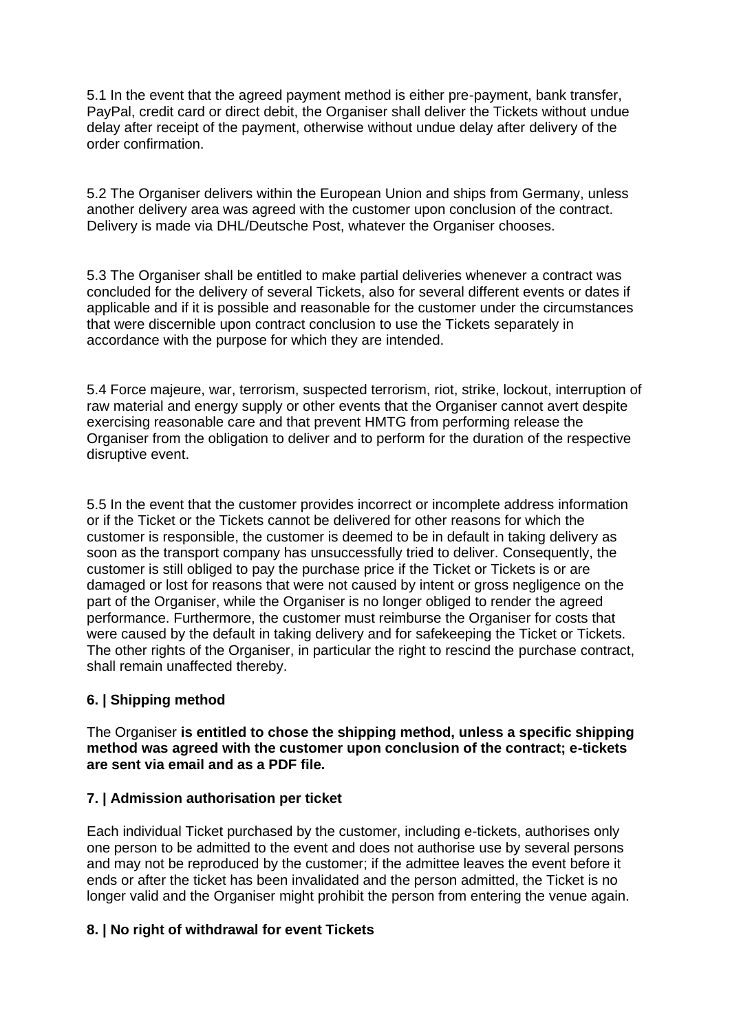5.1 In the event that the agreed payment method is either pre-payment, bank transfer, PayPal, credit card or direct debit, the Organiser shall deliver the Tickets without undue delay after receipt of the payment, otherwise without undue delay after delivery of the order confirmation.

5.2 The Organiser delivers within the European Union and ships from Germany, unless another delivery area was agreed with the customer upon conclusion of the contract. Delivery is made via DHL/Deutsche Post, whatever the Organiser chooses.

5.3 The Organiser shall be entitled to make partial deliveries whenever a contract was concluded for the delivery of several Tickets, also for several different events or dates if applicable and if it is possible and reasonable for the customer under the circumstances that were discernible upon contract conclusion to use the Tickets separately in accordance with the purpose for which they are intended.

5.4 Force majeure, war, terrorism, suspected terrorism, riot, strike, lockout, interruption of raw material and energy supply or other events that the Organiser cannot avert despite exercising reasonable care and that prevent HMTG from performing release the Organiser from the obligation to deliver and to perform for the duration of the respective disruptive event.

5.5 In the event that the customer provides incorrect or incomplete address information or if the Ticket or the Tickets cannot be delivered for other reasons for which the customer is responsible, the customer is deemed to be in default in taking delivery as soon as the transport company has unsuccessfully tried to deliver. Consequently, the customer is still obliged to pay the purchase price if the Ticket or Tickets is or are damaged or lost for reasons that were not caused by intent or gross negligence on the part of the Organiser, while the Organiser is no longer obliged to render the agreed performance. Furthermore, the customer must reimburse the Organiser for costs that were caused by the default in taking delivery and for safekeeping the Ticket or Tickets. The other rights of the Organiser, in particular the right to rescind the purchase contract, shall remain unaffected thereby.

## **6. | Shipping method**

The Organiser **is entitled to chose the shipping method, unless a specific shipping method was agreed with the customer upon conclusion of the contract; e-tickets are sent via email and as a PDF file.**

## **7. | Admission authorisation per ticket**

Each individual Ticket purchased by the customer, including e-tickets, authorises only one person to be admitted to the event and does not authorise use by several persons and may not be reproduced by the customer; if the admittee leaves the event before it ends or after the ticket has been invalidated and the person admitted, the Ticket is no longer valid and the Organiser might prohibit the person from entering the venue again.

#### **8. | No right of withdrawal for event Tickets**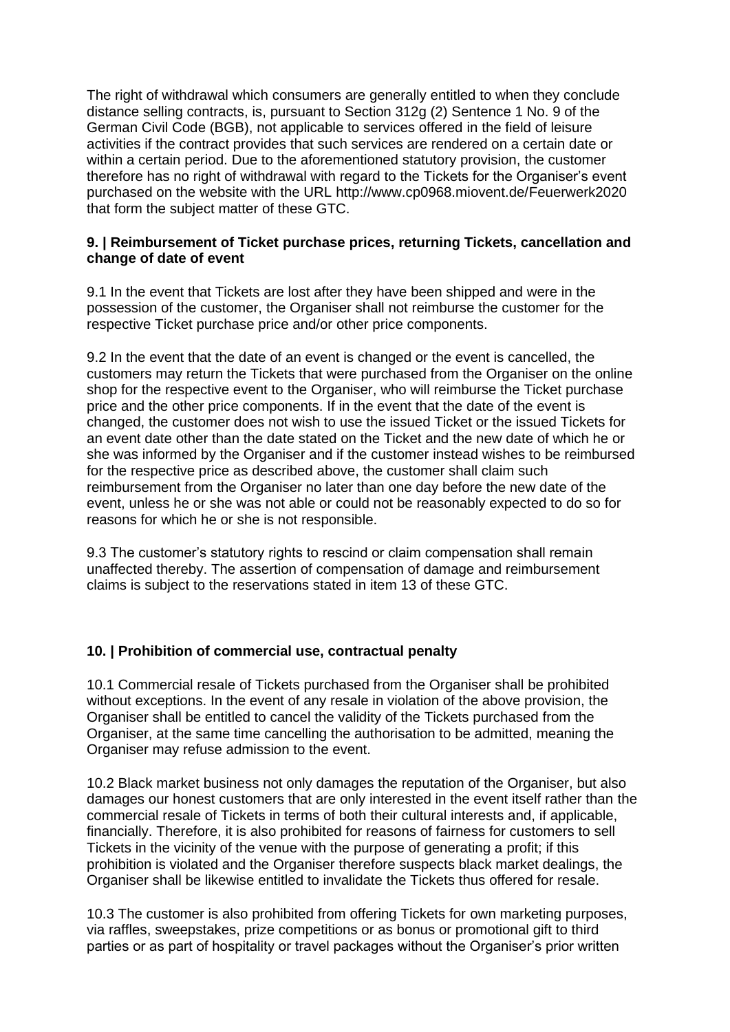The right of withdrawal which consumers are generally entitled to when they conclude distance selling contracts, is, pursuant to Section 312g (2) Sentence 1 No. 9 of the German Civil Code (BGB), not applicable to services offered in the field of leisure activities if the contract provides that such services are rendered on a certain date or within a certain period. Due to the aforementioned statutory provision, the customer therefore has no right of withdrawal with regard to the Tickets for the Organiser's event purchased on the website with the URL [http://www.cp0968.miovent.de/Feuerwerk202](http://www.cp0968.miovent.de/Feuerwerk20)0 that form the subject matter of these GTC.

### **9. | Reimbursement of Ticket purchase prices, returning Tickets, cancellation and change of date of event**

9.1 In the event that Tickets are lost after they have been shipped and were in the possession of the customer, the Organiser shall not reimburse the customer for the respective Ticket purchase price and/or other price components.

9.2 In the event that the date of an event is changed or the event is cancelled, the customers may return the Tickets that were purchased from the Organiser on the online shop for the respective event to the Organiser, who will reimburse the Ticket purchase price and the other price components. If in the event that the date of the event is changed, the customer does not wish to use the issued Ticket or the issued Tickets for an event date other than the date stated on the Ticket and the new date of which he or she was informed by the Organiser and if the customer instead wishes to be reimbursed for the respective price as described above, the customer shall claim such reimbursement from the Organiser no later than one day before the new date of the event, unless he or she was not able or could not be reasonably expected to do so for reasons for which he or she is not responsible.

9.3 The customer's statutory rights to rescind or claim compensation shall remain unaffected thereby. The assertion of compensation of damage and reimbursement claims is subject to the reservations stated in item 13 of these GTC.

## **10. | Prohibition of commercial use, contractual penalty**

10.1 Commercial resale of Tickets purchased from the Organiser shall be prohibited without exceptions. In the event of any resale in violation of the above provision, the Organiser shall be entitled to cancel the validity of the Tickets purchased from the Organiser, at the same time cancelling the authorisation to be admitted, meaning the Organiser may refuse admission to the event.

10.2 Black market business not only damages the reputation of the Organiser, but also damages our honest customers that are only interested in the event itself rather than the commercial resale of Tickets in terms of both their cultural interests and, if applicable, financially. Therefore, it is also prohibited for reasons of fairness for customers to sell Tickets in the vicinity of the venue with the purpose of generating a profit; if this prohibition is violated and the Organiser therefore suspects black market dealings, the Organiser shall be likewise entitled to invalidate the Tickets thus offered for resale.

10.3 The customer is also prohibited from offering Tickets for own marketing purposes, via raffles, sweepstakes, prize competitions or as bonus or promotional gift to third parties or as part of hospitality or travel packages without the Organiser's prior written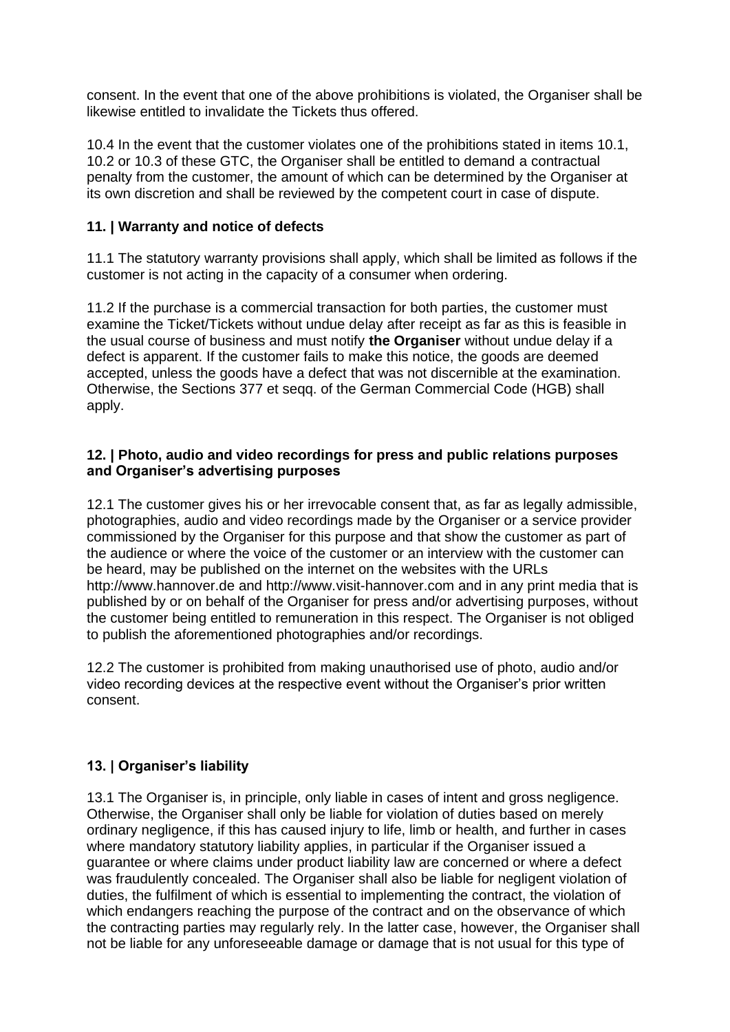consent. In the event that one of the above prohibitions is violated, the Organiser shall be likewise entitled to invalidate the Tickets thus offered.

10.4 In the event that the customer violates one of the prohibitions stated in items 10.1, 10.2 or 10.3 of these GTC, the Organiser shall be entitled to demand a contractual penalty from the customer, the amount of which can be determined by the Organiser at its own discretion and shall be reviewed by the competent court in case of dispute.

## **11. | Warranty and notice of defects**

11.1 The statutory warranty provisions shall apply, which shall be limited as follows if the customer is not acting in the capacity of a consumer when ordering.

11.2 If the purchase is a commercial transaction for both parties, the customer must examine the Ticket/Tickets without undue delay after receipt as far as this is feasible in the usual course of business and must notify **the Organiser** without undue delay if a defect is apparent. If the customer fails to make this notice, the goods are deemed accepted, unless the goods have a defect that was not discernible at the examination. Otherwise, the Sections 377 et seqq. of the German Commercial Code (HGB) shall apply.

### **12. | Photo, audio and video recordings for press and public relations purposes and Organiser's advertising purposes**

12.1 The customer gives his or her irrevocable consent that, as far as legally admissible, photographies, audio and video recordings made by the Organiser or a service provider commissioned by the Organiser for this purpose and that show the customer as part of the audience or where the voice of the customer or an interview with the customer can be heard, may be published on the internet on the websites with the URLs http://www.hannover.de and http://www.visit-hannover.com and in any print media that is published by or on behalf of the Organiser for press and/or advertising purposes, without the customer being entitled to remuneration in this respect. The Organiser is not obliged to publish the aforementioned photographies and/or recordings.

12.2 The customer is prohibited from making unauthorised use of photo, audio and/or video recording devices at the respective event without the Organiser's prior written consent.

# **13. | Organiser's liability**

13.1 The Organiser is, in principle, only liable in cases of intent and gross negligence. Otherwise, the Organiser shall only be liable for violation of duties based on merely ordinary negligence, if this has caused injury to life, limb or health, and further in cases where mandatory statutory liability applies, in particular if the Organiser issued a guarantee or where claims under product liability law are concerned or where a defect was fraudulently concealed. The Organiser shall also be liable for negligent violation of duties, the fulfilment of which is essential to implementing the contract, the violation of which endangers reaching the purpose of the contract and on the observance of which the contracting parties may regularly rely. In the latter case, however, the Organiser shall not be liable for any unforeseeable damage or damage that is not usual for this type of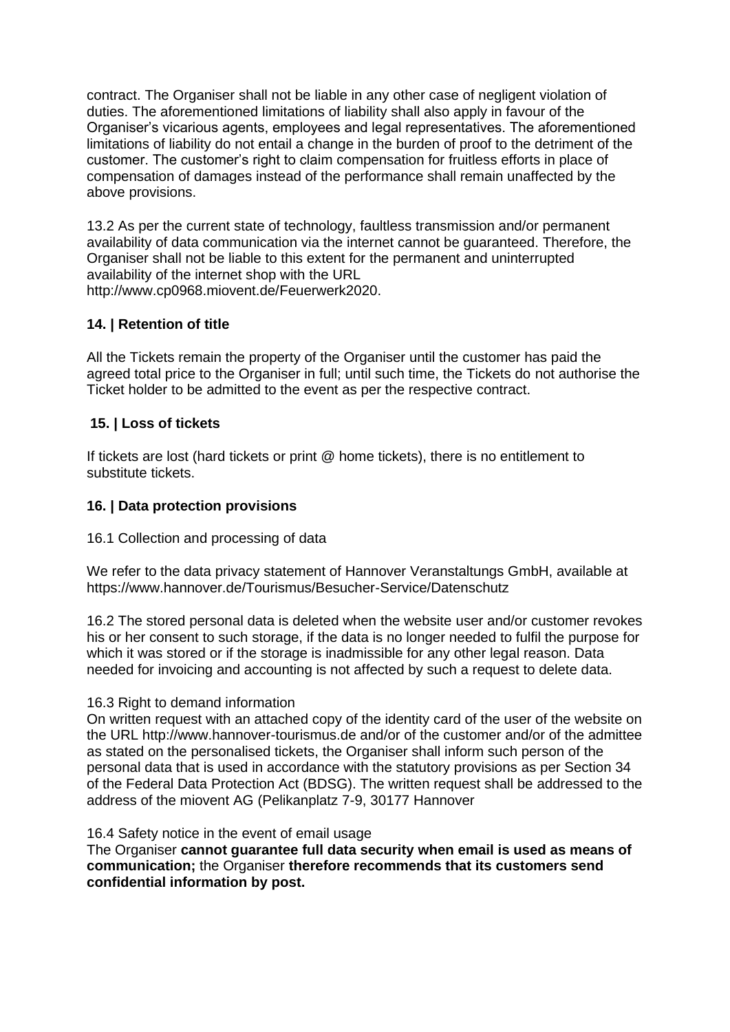contract. The Organiser shall not be liable in any other case of negligent violation of duties. The aforementioned limitations of liability shall also apply in favour of the Organiser's vicarious agents, employees and legal representatives. The aforementioned limitations of liability do not entail a change in the burden of proof to the detriment of the customer. The customer's right to claim compensation for fruitless efforts in place of compensation of damages instead of the performance shall remain unaffected by the above provisions.

13.2 As per the current state of technology, faultless transmission and/or permanent availability of data communication via the internet cannot be guaranteed. Therefore, the Organiser shall not be liable to this extent for the permanent and uninterrupted availability of the internet shop with the URL [http://www.cp0968.miovent.de/Feuerwerk202](http://www.cp0968.miovent.de/Feuerwerk20)0.

## **14. | Retention of title**

All the Tickets remain the property of the Organiser until the customer has paid the agreed total price to the Organiser in full; until such time, the Tickets do not authorise the Ticket holder to be admitted to the event as per the respective contract.

## **15. | Loss of tickets**

If tickets are lost (hard tickets or print @ home tickets), there is no entitlement to substitute tickets.

## **16. | Data protection provisions**

## 16.1 Collection and processing of data

We refer to the data privacy statement of Hannover Veranstaltungs GmbH, available at https://www.hannover.de/Tourismus/Besucher-Service/Datenschutz

16.2 The stored personal data is deleted when the website user and/or customer revokes his or her consent to such storage, if the data is no longer needed to fulfil the purpose for which it was stored or if the storage is inadmissible for any other legal reason. Data needed for invoicing and accounting is not affected by such a request to delete data.

## 16.3 Right to demand information

On written request with an attached copy of the identity card of the user of the website on the URL http://www.hannover-tourismus.de and/or of the customer and/or of the admittee as stated on the personalised tickets, the Organiser shall inform such person of the personal data that is used in accordance with the statutory provisions as per Section 34 of the Federal Data Protection Act (BDSG). The written request shall be addressed to the address of the miovent AG (Pelikanplatz 7-9, 30177 Hannover

#### 16.4 Safety notice in the event of email usage

The Organiser **cannot guarantee full data security when email is used as means of communication;** the Organiser **therefore recommends that its customers send confidential information by post.**